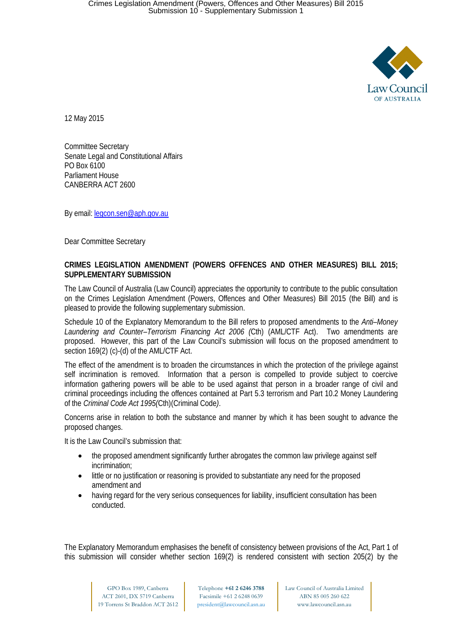

12 May 2015

Committee Secretary Senate Legal and Constitutional Affairs PO Box 6100 Parliament House CANBERRA ACT 2600

By email[: legcon.sen@aph.gov.au](mailto:legcon.sen@aph.gov.au)

Dear Committee Secretary

#### **CRIMES LEGISLATION AMENDMENT (POWERS OFFENCES AND OTHER MEASURES) BILL 2015; SUPPLEMENTARY SUBMISSION**

The Law Council of Australia (Law Council) appreciates the opportunity to contribute to the public consultation on the Crimes Legislation Amendment (Powers, Offences and Other Measures) Bill 2015 (the Bill) and is pleased to provide the following supplementary submission.

Schedule 10 of the Explanatory Memorandum to the Bill refers to proposed amendments to the *Anti–Money Laundering and Counter–Terrorism Financing Act 2006 (*Cth) (AML/CTF Act). Two amendments are proposed. However, this part of the Law Council's submission will focus on the proposed amendment to section 169(2) (c)-(d) of the AML/CTF Act.

The effect of the amendment is to broaden the circumstances in which the protection of the privilege against self incrimination is removed. Information that a person is compelled to provide subject to coercive information gathering powers will be able to be used against that person in a broader range of civil and criminal proceedings including the offences contained at Part 5.3 terrorism and Part 10.2 Money Laundering of the *Criminal Code Act 1995(*Cth)(Criminal Code*)*.

Concerns arise in relation to both the substance and manner by which it has been sought to advance the proposed changes.

It is the Law Council's submission that:

- the proposed amendment significantly further abrogates the common law privilege against self incrimination;
- little or no justification or reasoning is provided to substantiate any need for the proposed amendment and
- having regard for the very serious consequences for liability, insufficient consultation has been conducted.

The Explanatory Memorandum emphasises the benefit of consistency between provisions of the Act, Part 1 of this submission will consider whether section 169(2) is rendered consistent with section 205(2) by the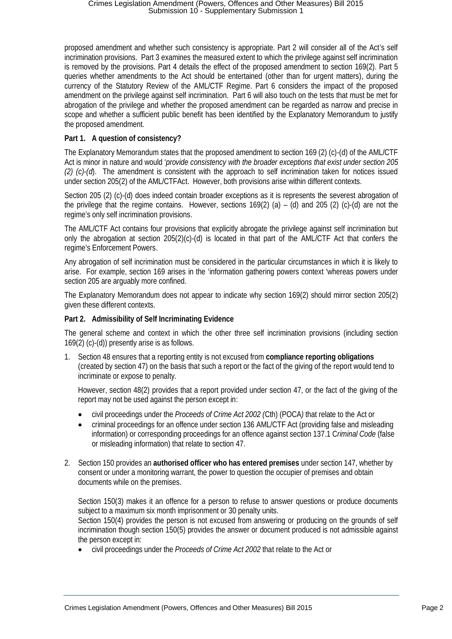proposed amendment and whether such consistency is appropriate. Part 2 will consider all of the Act's self incrimination provisions. Part 3 examines the measured extent to which the privilege against self incrimination is removed by the provisions. Part 4 details the effect of the proposed amendment to section 169(2). Part 5 queries whether amendments to the Act should be entertained (other than for urgent matters), during the currency of the Statutory Review of the AML/CTF Regime. Part 6 considers the impact of the proposed amendment on the privilege against self incrimination. Part 6 will also touch on the tests that must be met for abrogation of the privilege and whether the proposed amendment can be regarded as narrow and precise in scope and whether a sufficient public benefit has been identified by the Explanatory Memorandum to justify the proposed amendment.

# **Part 1. A question of consistency?**

The Explanatory Memorandum states that the proposed amendment to section 169 (2) (c)-(d) of the AML/CTF Act is minor in nature and would '*provide consistency with the broader exceptions that exist under section 205 (2) (c)-(d*). The amendment is consistent with the approach to self incrimination taken for notices issued under section 205(2) of the AML/CTFAct. However, both provisions arise within different contexts.

Section 205 (2) (c)-(d) does indeed contain broader exceptions as it is represents the severest abrogation of the privilege that the regime contains. However, sections  $169(2)$  (a) – (d) and 205 (2) (c)-(d) are not the regime's only self incrimination provisions.

The AML/CTF Act contains four provisions that explicitly abrogate the privilege against self incrimination but only the abrogation at section  $205(2)(c)$ -(d) is located in that part of the AML/CTF Act that confers the regime's Enforcement Powers.

Any abrogation of self incrimination must be considered in the particular circumstances in which it is likely to arise. For example, section 169 arises in the 'information gathering powers context 'whereas powers under section 205 are arguably more confined.

The Explanatory Memorandum does not appear to indicate why section 169(2) should mirror section 205(2) given these different contexts.

## **Part 2. Admissibility of Self Incriminating Evidence**

The general scheme and context in which the other three self incrimination provisions (including section 169(2) (c)-(d)) presently arise is as follows.

1. Section 48 ensures that a reporting entity is not excused from **compliance reporting obligations** (created by section 47) on the basis that such a report or the fact of the giving of the report would tend to incriminate or expose to penalty.

However, section 48(2) provides that a report provided under section 47, or the fact of the giving of the report may not be used against the person except in:

- civil proceedings under the *Proceeds of Crime Act 2002 (*Cth) (POCA*)* that relate to the Act or
- criminal proceedings for an offence under section 136 AML/CTF Act (providing false and misleading information) or corresponding proceedings for an offence against section 137.1 C*riminal Code* (false or misleading information) that relate to section 47.
- 2. Section 150 provides an **authorised officer who has entered premises** under section 147, whether by consent or under a monitoring warrant, the power to question the occupier of premises and obtain documents while on the premises.

Section 150(3) makes it an offence for a person to refuse to answer questions or produce documents subject to a maximum six month imprisonment or 30 penalty units.

Section 150(4) provides the person is not excused from answering or producing on the grounds of self incrimination though section 150(5) provides the answer or document produced is not admissible against the person except in:

• civil proceedings under the *Proceeds of Crime Act 2002* that relate to the Act or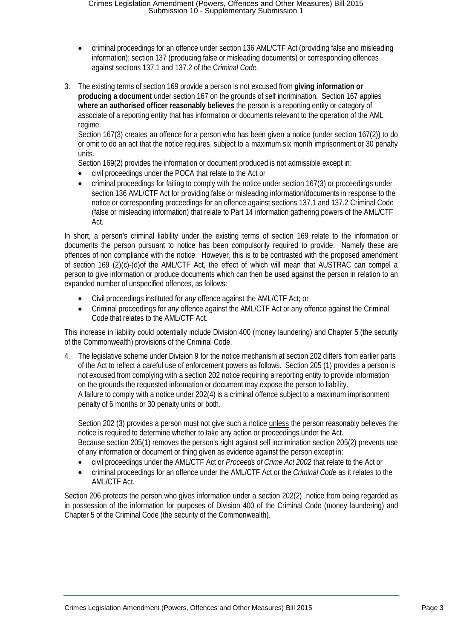- criminal proceedings for an offence under section 136 AML/CTF Act (providing false and misleading information); section 137 (producing false or misleading documents) or corresponding offences against sections 137.1 and 137.2 of the C*riminal Code.*
- 3. The existing terms of section 169 provide a person is not excused from **giving information or producing a document** under section 167 on the grounds of self incrimination. Section 167 applies **where an authorised officer reasonably believes** the person is a reporting entity or category of associate of a reporting entity that has information or documents relevant to the operation of the AML regime.

Section 167(3) creates an offence for a person who has been given a notice (under section 167(2)) to do or omit to do an act that the notice requires, subject to a maximum six month imprisonment or 30 penalty units.

Section 169(2) provides the information or document produced is not admissible except in:

- civil proceedings under the POCA that relate to the Act or
- criminal proceedings for failing to comply with the notice under section 167(3) or proceedings under section 136 AML/CTF Act for providing false or misleading information/documents in response to the notice or corresponding proceedings for an offence against sections 137.1 and 137.2 Criminal Code (false or misleading information) that relate to Part 14 information gathering powers of the AML/CTF Act.

In short, a person's criminal liability under the existing terms of section 169 relate to the information or documents the person pursuant to notice has been compulsorily required to provide. Namely these are offences of non compliance with the notice. However, this is to be contrasted with the proposed amendment of section 169 (2)(c)-(d)of the AML/CTF Act, the effect of which will mean that AUSTRAC can compel a person to give information or produce documents which can then be used against the person in relation to an expanded number of unspecified offences, as follows:

- Civil proceedings instituted for *any* offence against the AML/CTF Act; or
- Criminal proceedings for *any* offence against the AML/CTF Act or any offence against the Criminal Code that relates to the AML/CTF Act.

This increase in liability could potentially include Division 400 (money laundering) and Chapter 5 (the security of the Commonwealth) provisions of the Criminal Code.

4. The legislative scheme under Division 9 for the notice mechanism at section 202 differs from earlier parts of the Act to reflect a careful use of enforcement powers as follows. Section 205 (1) provides a person is not excused from complying with a section 202 notice requiring a reporting entity to provide information on the grounds the requested information or document may expose the person to liability. A failure to comply with a notice under 202(4) is a criminal offence subject to a maximum imprisonment penalty of 6 months or 30 penalty units or both.

Section 202 (3) provides a person must not give such a notice unless the person reasonably believes the notice is required to determine whether to take any action or proceedings under the Act. Because section 205(1) removes the person's right against self incrimination section 205(2) prevents use of any information or document or thing given as evidence against the person except in:

- civil proceedings under the AML/CTF Act or *Proceeds of Crime Act 2002* that relate to the Act or
- criminal proceedings for an offence under the AML/CTF Act or the *Criminal Code* as it relates to the AML/CTF Act.

Section 206 protects the person who gives information under a section 202(2) notice from being regarded as in possession of the information for purposes of Division 400 of the Criminal Code (money laundering) and Chapter 5 of the Criminal Code (the security of the Commonwealth).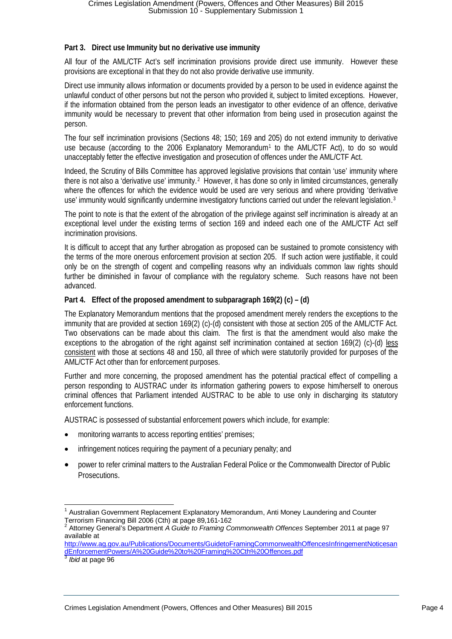## **Part 3. Direct use Immunity but no derivative use immunity**

All four of the AML/CTF Act's self incrimination provisions provide direct use immunity. However these provisions are exceptional in that they do not also provide derivative use immunity.

Direct use immunity allows information or documents provided by a person to be used in evidence against the unlawful conduct of other persons but not the person who provided it, subject to limited exceptions. However, if the information obtained from the person leads an investigator to other evidence of an offence, derivative immunity would be necessary to prevent that other information from being used in prosecution against the person.

The four self incrimination provisions (Sections 48; 150; 169 and 205) do not extend immunity to derivative use because (according to the 2006 Explanatory Memorandum<sup>[1](#page-3-0)</sup> to the AML/CTF Act), to do so would unacceptably fetter the effective investigation and prosecution of offences under the AML/CTF Act.

Indeed, the Scrutiny of Bills Committee has approved legislative provisions that contain 'use' immunity where there is not also a 'derivative use' immunity.<sup>[2](#page-3-1)</sup> However, it has done so only in limited circumstances, generally where the offences for which the evidence would be used are very serious and where providing 'derivative use' immunity would significantly undermine investigatory functions carried out under the relevant legislation.<sup>[3](#page-3-2)</sup>

The point to note is that the extent of the abrogation of the privilege against self incrimination is already at an exceptional level under the existing terms of section 169 and indeed each one of the AML/CTF Act self incrimination provisions.

It is difficult to accept that any further abrogation as proposed can be sustained to promote consistency with the terms of the more onerous enforcement provision at section 205. If such action were justifiable, it could only be on the strength of cogent and compelling reasons why an individuals common law rights should further be diminished in favour of compliance with the regulatory scheme. Such reasons have not been advanced.

## **Part 4. Effect of the proposed amendment to subparagraph 169(2) (c) – (d)**

The Explanatory Memorandum mentions that the proposed amendment merely renders the exceptions to the immunity that are provided at section 169(2) (c)-(d) consistent with those at section 205 of the AML/CTF Act. Two observations can be made about this claim. The first is that the amendment would also make the exceptions to the abrogation of the right against self incrimination contained at section 169(2) (c)-(d) less consistent with those at sections 48 and 150, all three of which were statutorily provided for purposes of the AML/CTF Act other than for enforcement purposes.

Further and more concerning, the proposed amendment has the potential practical effect of compelling a person responding to AUSTRAC under its information gathering powers to expose him/herself to onerous criminal offences that Parliament intended AUSTRAC to be able to use only in discharging its statutory enforcement functions.

AUSTRAC is possessed of substantial enforcement powers which include, for example:

- monitoring warrants to access reporting entities' premises;
- infringement notices requiring the payment of a pecuniary penalty; and
- power to refer criminal matters to the Australian Federal Police or the Commonwealth Director of Public Prosecutions.

<span id="page-3-2"></span><sup>3</sup> *Ibid* at page 96

<span id="page-3-0"></span><sup>&</sup>lt;sup>1</sup> Australian Government Replacement Explanatory Memorandum, Anti Money Laundering and Counter<br>Terrorism Financing Bill 2006 (Cth) at page 89,161-162

<span id="page-3-1"></span>Attorney General's Department *A Guide to Framing Commonwealth Offences* September 2011 at page 97 available at

[http://www.ag.gov.au/Publications/Documents/GuidetoFramingCommonwealthOffencesInfringementNoticesan](http://www.ag.gov.au/Publications/Documents/GuidetoFramingCommonwealthOffencesInfringementNoticesandEnforcementPowers/A%20Guide%20to%20Framing%20Cth%20Offences.pdf) [dEnforcementPowers/A%20Guide%20to%20Framing%20Cth%20Offences.pdf](http://www.ag.gov.au/Publications/Documents/GuidetoFramingCommonwealthOffencesInfringementNoticesandEnforcementPowers/A%20Guide%20to%20Framing%20Cth%20Offences.pdf)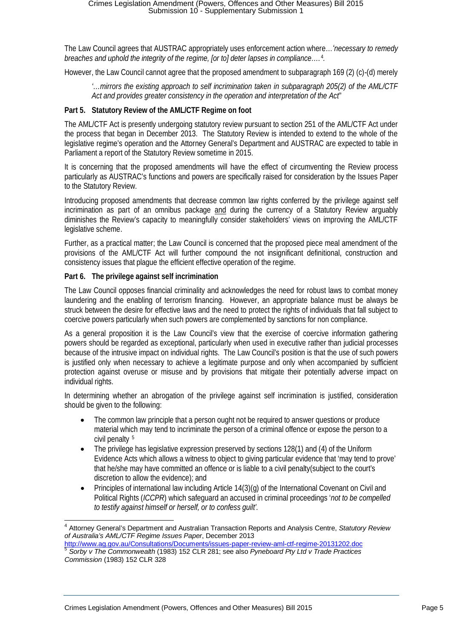The Law Council agrees that AUSTRAC appropriately uses enforcement action where…*'necessary to remedy breaches and uphold the integrity of the regime, [or to] deter lapses in compliance….* [4](#page-4-0)*.*

However, the Law Council cannot agree that the proposed amendment to subparagraph 169 (2) (c)-(d) merely

*'…mirrors the existing approach to self incrimination taken in subparagraph 205(2) of the AML/CTF Act and provides greater consistency in the operation and interpretation of the Act*"

### **Part 5. Statutory Review of the AML/CTF Regime on foot**

The AML/CTF Act is presently undergoing statutory review pursuant to section 251 of the AML/CTF Act under the process that began in December 2013. The Statutory Review is intended to extend to the whole of the legislative regime's operation and the Attorney General's Department and AUSTRAC are expected to table in Parliament a report of the Statutory Review sometime in 2015.

It is concerning that the proposed amendments will have the effect of circumventing the Review process particularly as AUSTRAC's functions and powers are specifically raised for consideration by the Issues Paper to the Statutory Review.

Introducing proposed amendments that decrease common law rights conferred by the privilege against self incrimination as part of an omnibus package and during the currency of a Statutory Review arguably diminishes the Review's capacity to meaningfully consider stakeholders' views on improving the AML/CTF legislative scheme.

Further, as a practical matter; the Law Council is concerned that the proposed piece meal amendment of the provisions of the AML/CTF Act will further compound the not insignificant definitional, construction and consistency issues that plague the efficient effective operation of the regime.

## **Part 6. The privilege against self incrimination**

The Law Council opposes financial criminality and acknowledges the need for robust laws to combat money laundering and the enabling of terrorism financing. However, an appropriate balance must be always be struck between the desire for effective laws and the need to protect the rights of individuals that fall subject to coercive powers particularly when such powers are complemented by sanctions for non compliance.

As a general proposition it is the Law Council's view that the exercise of coercive information gathering powers should be regarded as exceptional, particularly when used in executive rather than judicial processes because of the intrusive impact on individual rights. The Law Council's position is that the use of such powers is justified only when necessary to achieve a legitimate purpose and only when accompanied by sufficient protection against overuse or misuse and by provisions that mitigate their potentially adverse impact on individual rights.

In determining whether an abrogation of the privilege against self incrimination is justified, consideration should be given to the following:

- The common law principle that a person ought not be required to answer questions or produce material which may tend to incriminate the person of a criminal offence or expose the person to a civil penalty [5](#page-4-1)
- The privilege has legislative expression preserved by sections 128(1) and (4) of the Uniform Evidence Acts which allows a witness to object to giving particular evidence that 'may tend to prove' that he/she may have committed an offence or is liable to a civil penalty(subject to the court's discretion to allow the evidence); and
- Principles of international law including Article 14(3)(g) of the International Covenant on Civil and Political Rights (*ICCPR*) which safeguard an accused in criminal proceedings '*not to be compelled to testify against himself or herself, or to confess guilt'.*

<span id="page-4-0"></span> <sup>4</sup> Attorney General's Department and Australian Transaction Reports and Analysis Centre, *Statutory Review of Australia's AML/CTF Regime Issues Paper*, December 2013

<span id="page-4-1"></span><http://www.ag.gov.au/Consultations/Documents/issues-paper-review-aml-ctf-regime-20131202.doc> <sup>5</sup> *Sorby v The Commonwealth* (1983) 152 CLR 281; see also *Pyneboard Pty Ltd v Trade Practices Commission* (1983) 152 CLR 328